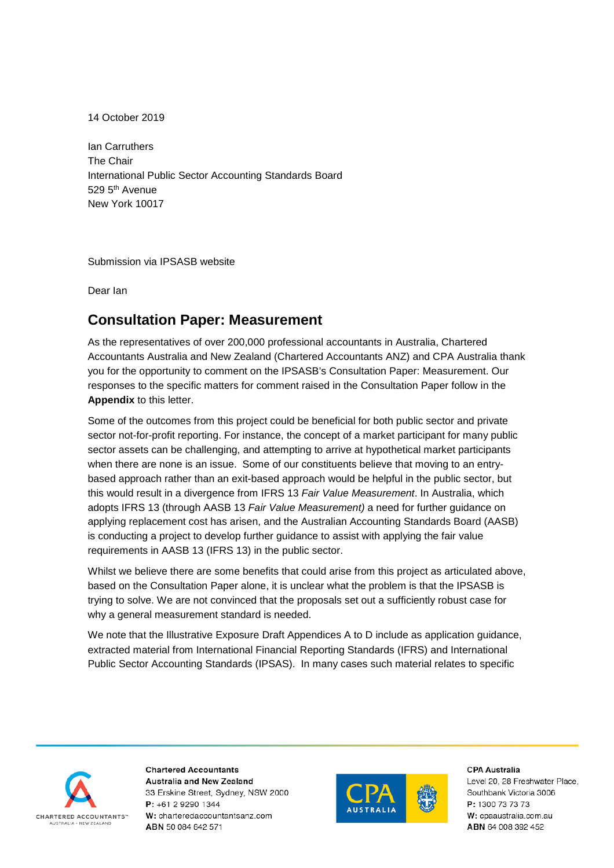14 October 2019

Ian Carruthers The Chair International Public Sector Accounting Standards Board 529 5th Avenue New York 10017

Submission via IPSASB website

Dear Ian

## **Consultation Paper: Measurement**

As the representatives of over 200,000 professional accountants in Australia, Chartered Accountants Australia and New Zealand (Chartered Accountants ANZ) and CPA Australia thank you for the opportunity to comment on the IPSASB's Consultation Paper: Measurement. Our responses to the specific matters for comment raised in the Consultation Paper follow in the **Appendix** to this letter.

Some of the outcomes from this project could be beneficial for both public sector and private sector not-for-profit reporting. For instance, the concept of a market participant for many public sector assets can be challenging, and attempting to arrive at hypothetical market participants when there are none is an issue. Some of our constituents believe that moving to an entrybased approach rather than an exit-based approach would be helpful in the public sector, but this would result in a divergence from IFRS 13 *Fair Value Measurement*. In Australia, which adopts IFRS 13 (through AASB 13 *Fair Value Measurement)* a need for further guidance on applying replacement cost has arisen, and the Australian Accounting Standards Board (AASB) is conducting a project to develop further guidance to assist with applying the fair value requirements in AASB 13 (IFRS 13) in the public sector.

Whilst we believe there are some benefits that could arise from this project as articulated above, based on the Consultation Paper alone, it is unclear what the problem is that the IPSASB is trying to solve. We are not convinced that the proposals set out a sufficiently robust case for why a general measurement standard is needed.

We note that the Illustrative Exposure Draft Appendices A to D include as application guidance, extracted material from International Financial Reporting Standards (IFRS) and International Public Sector Accounting Standards (IPSAS). In many cases such material relates to specific



**Chartered Accountants** Australia and New Zealand 33 Erskine Street, Sydney, NSW 2000 P: +61 2 9290 1344 W: charteredaccountantsanz.com ABN 50 084 642 571



**CPA Australia**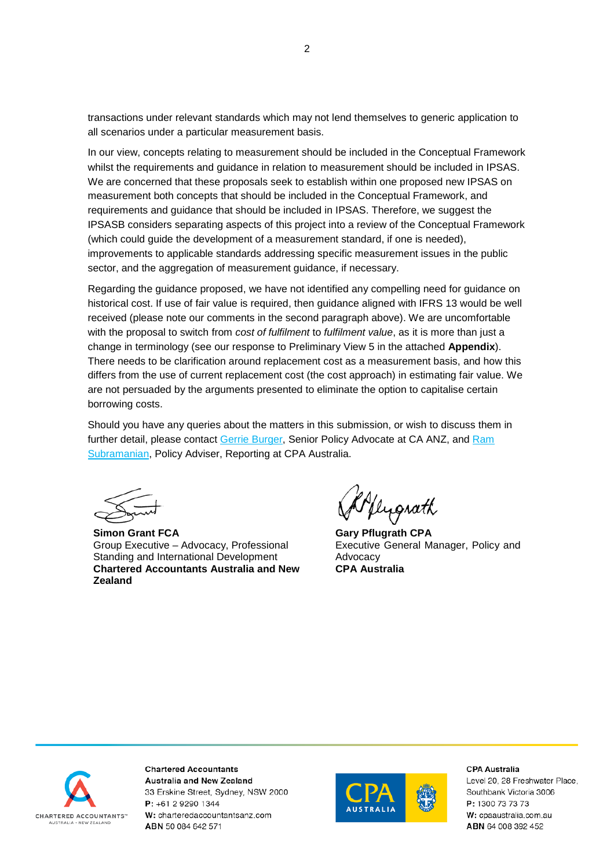transactions under relevant standards which may not lend themselves to generic application to all scenarios under a particular measurement basis.

In our view, concepts relating to measurement should be included in the Conceptual Framework whilst the requirements and guidance in relation to measurement should be included in IPSAS. We are concerned that these proposals seek to establish within one proposed new IPSAS on measurement both concepts that should be included in the Conceptual Framework, and requirements and guidance that should be included in IPSAS. Therefore, we suggest the IPSASB considers separating aspects of this project into a review of the Conceptual Framework (which could guide the development of a measurement standard, if one is needed), improvements to applicable standards addressing specific measurement issues in the public sector, and the aggregation of measurement guidance, if necessary.

Regarding the guidance proposed, we have not identified any compelling need for guidance on historical cost. If use of fair value is required, then guidance aligned with IFRS 13 would be well received (please note our comments in the second paragraph above). We are uncomfortable with the proposal to switch from *cost of fulfilment* to *fulfilment value*, as it is more than just a change in terminology (see our response to Preliminary View 5 in the attached **Appendix**). There needs to be clarification around replacement cost as a measurement basis, and how this differs from the use of current replacement cost (the cost approach) in estimating fair value. We are not persuaded by the arguments presented to eliminate the option to capitalise certain borrowing costs.

Should you have any queries about the matters in this submission, or wish to discuss them in further detail, please contact [Gerrie Burger,](mailto:gerrie.burger@charteredaccountantsanz.com) Senior Policy Advocate at CA ANZ, and Ram [Subramanian,](mailto:ram.subramanian@cpaaustralia.com.au) Policy Adviser, Reporting at CPA Australia.

**Simon Grant FCA** Group Executive – Advocacy, Professional Standing and International Development **Chartered Accountants Australia and New Zealand**

Kflugrath

 **Gary Pflugrath CPA** Executive General Manager, Policy and Advocacy **CPA Australia**



**Chartered Accountants** Australia and New Zealand 33 Erskine Street, Sydney, NSW 2000 P: +61 2 9290 1344 W: charteredaccountantsanz.com ABN 50 084 642 571



**CPA Australia**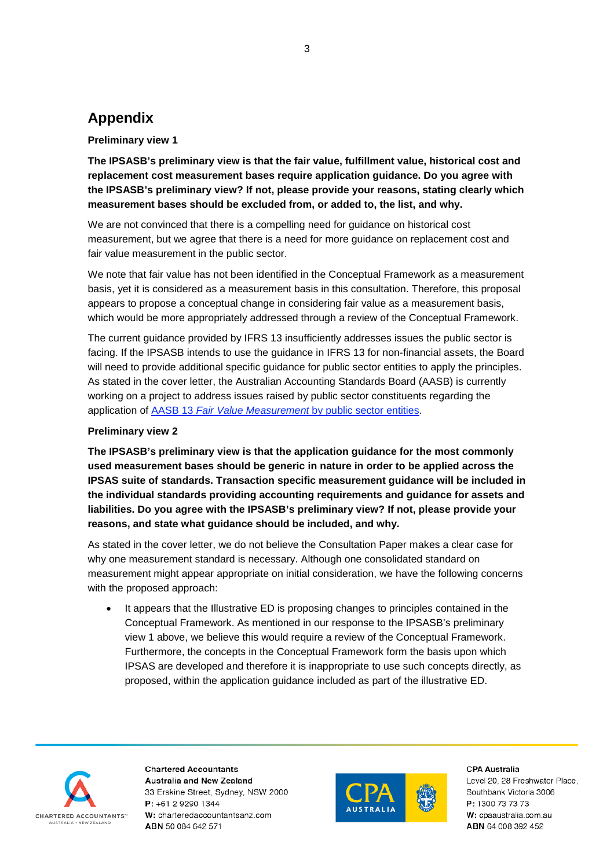# **Appendix**

## **Preliminary view 1**

**The IPSASB's preliminary view is that the fair value, fulfillment value, historical cost and replacement cost measurement bases require application guidance. Do you agree with the IPSASB's preliminary view? If not, please provide your reasons, stating clearly which measurement bases should be excluded from, or added to, the list, and why.** 

We are not convinced that there is a compelling need for guidance on historical cost measurement, but we agree that there is a need for more guidance on replacement cost and fair value measurement in the public sector.

We note that fair value has not been identified in the Conceptual Framework as a measurement basis, yet it is considered as a measurement basis in this consultation. Therefore, this proposal appears to propose a conceptual change in considering fair value as a measurement basis, which would be more appropriately addressed through a review of the Conceptual Framework.

The current guidance provided by IFRS 13 insufficiently addresses issues the public sector is facing. If the IPSASB intends to use the guidance in IFRS 13 for non-financial assets, the Board will need to provide additional specific guidance for public sector entities to apply the principles. As stated in the cover letter, the Australian Accounting Standards Board (AASB) is currently working on a project to address issues raised by public sector constituents regarding the application of AASB 13 *[Fair Value Measurement](https://www.aasb.gov.au/admin/file/content102/c3/Fair%20value%20measurement%20in%20the%20public%20sector.pdf)* by public sector entities.

## **Preliminary view 2**

**The IPSASB's preliminary view is that the application guidance for the most commonly used measurement bases should be generic in nature in order to be applied across the IPSAS suite of standards. Transaction specific measurement guidance will be included in the individual standards providing accounting requirements and guidance for assets and liabilities. Do you agree with the IPSASB's preliminary view? If not, please provide your reasons, and state what guidance should be included, and why.**

As stated in the cover letter, we do not believe the Consultation Paper makes a clear case for why one measurement standard is necessary. Although one consolidated standard on measurement might appear appropriate on initial consideration, we have the following concerns with the proposed approach:

It appears that the Illustrative ED is proposing changes to principles contained in the Conceptual Framework. As mentioned in our response to the IPSASB's preliminary view 1 above, we believe this would require a review of the Conceptual Framework. Furthermore, the concepts in the Conceptual Framework form the basis upon which IPSAS are developed and therefore it is inappropriate to use such concepts directly, as proposed, within the application guidance included as part of the illustrative ED.



**Chartered Accountants** Australia and New Zealand 33 Erskine Street, Sydney, NSW 2000 P: +61 2 9290 1344 W: charteredaccountantsanz.com ABN 50 084 642 571



**CPA Australia**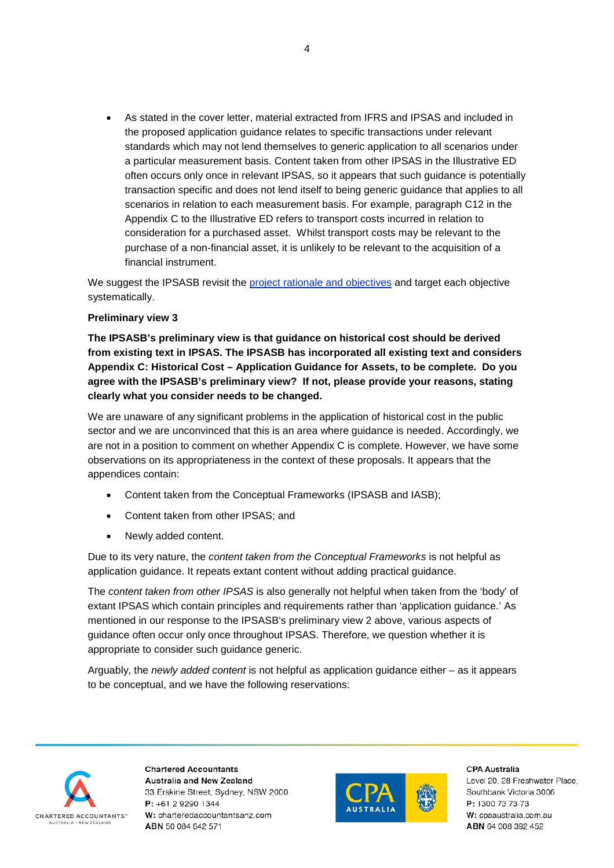• As stated in the cover letter, material extracted from IFRS and IPSAS and included in the proposed application guidance relates to specific transactions under relevant standards which may not lend themselves to generic application to all scenarios under a particular measurement basis. Content taken from other IPSAS in the Illustrative ED often occurs only once in relevant IPSAS, so it appears that such guidance is potentially transaction specific and does not lend itself to being generic guidance that applies to all scenarios in relation to each measurement basis. For example, paragraph C12 in the Appendix C to the Illustrative ED refers to transport costs incurred in relation to consideration for a purchased asset. Whilst transport costs may be relevant to the purchase of a non-financial asset, it is unlikely to be relevant to the acquisition of a financial instrument.

We suggest the IPSASB revisit the [project rationale and objectives](https://www.ifac.org/system/files/Project%20Brief-approved-Public%20Sector%20Measurement-17%20March%202017.pdf) and target each objective systematically.

## **Preliminary view 3**

**The IPSASB's preliminary view is that guidance on historical cost should be derived from existing text in IPSAS. The IPSASB has incorporated all existing text and considers Appendix C: Historical Cost – Application Guidance for Assets, to be complete. Do you agree with the IPSASB's preliminary view? If not, please provide your reasons, stating clearly what you consider needs to be changed.**

We are unaware of any significant problems in the application of historical cost in the public sector and we are unconvinced that this is an area where guidance is needed. Accordingly, we are not in a position to comment on whether Appendix C is complete. However, we have some observations on its appropriateness in the context of these proposals. It appears that the appendices contain:

- Content taken from the Conceptual Frameworks (IPSASB and IASB);
- Content taken from other IPSAS; and
- Newly added content.

Due to its very nature, the *content taken from the Conceptual Frameworks* is not helpful as application guidance. It repeats extant content without adding practical guidance.

The *content taken from other IPSAS* is also generally not helpful when taken from the 'body' of extant IPSAS which contain principles and requirements rather than 'application guidance.' As mentioned in our response to the IPSASB's preliminary view 2 above, various aspects of guidance often occur only once throughout IPSAS. Therefore, we question whether it is appropriate to consider such guidance generic.

Arguably, the *newly added content* is not helpful as application guidance either – as it appears to be conceptual, and we have the following reservations:



**Chartered Accountants** Australia and New Zealand 33 Erskine Street, Sydney, NSW 2000 P: +61 2 9290 1344 W: charteredaccountantsanz.com ABN 50 084 642 571



**CPA Australia**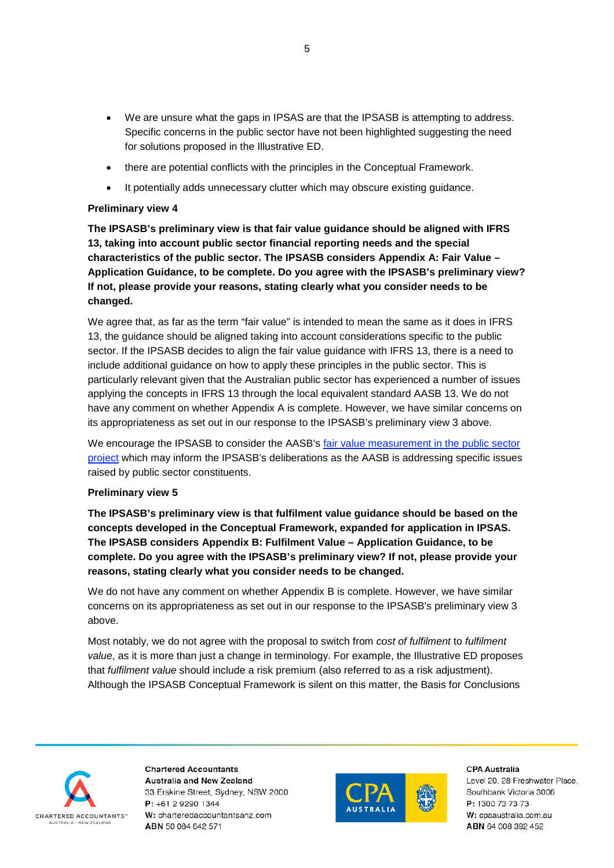- We are unsure what the gaps in IPSAS are that the IPSASB is attempting to address. Specific concerns in the public sector have not been highlighted suggesting the need for solutions proposed in the Illustrative ED.
- there are potential conflicts with the principles in the Conceptual Framework.
- It potentially adds unnecessary clutter which may obscure existing guidance.

## **Preliminary view 4**

**The IPSASB's preliminary view is that fair value guidance should be aligned with IFRS 13, taking into account public sector financial reporting needs and the special characteristics of the public sector. The IPSASB considers Appendix A: Fair Value – Application Guidance, to be complete. Do you agree with the IPSASB's preliminary view? If not, please provide your reasons, stating clearly what you consider needs to be changed.**

We agree that, as far as the term "fair value" is intended to mean the same as it does in IFRS 13, the guidance should be aligned taking into account considerations specific to the public sector. If the IPSASB decides to align the fair value guidance with IFRS 13, there is a need to include additional guidance on how to apply these principles in the public sector. This is particularly relevant given that the Australian public sector has experienced a number of issues applying the concepts in IFRS 13 through the local equivalent standard AASB 13. We do not have any comment on whether Appendix A is complete. However, we have similar concerns on its appropriateness as set out in our response to the IPSASB's preliminary view 3 above.

We encourage the IPSASB to consider the AASB's fair value measurement in the public sector [project](https://www.aasb.gov.au/admin/file/content102/c3/Fair%20value%20measurement%20in%20the%20public%20sector.pdf) which may inform the IPSASB's deliberations as the AASB is addressing specific issues raised by public sector constituents.

## **Preliminary view 5**

**The IPSASB's preliminary view is that fulfilment value guidance should be based on the concepts developed in the Conceptual Framework, expanded for application in IPSAS. The IPSASB considers Appendix B: Fulfilment Value – Application Guidance, to be complete. Do you agree with the IPSASB's preliminary view? If not, please provide your reasons, stating clearly what you consider needs to be changed.**

We do not have any comment on whether Appendix B is complete. However, we have similar concerns on its appropriateness as set out in our response to the IPSASB's preliminary view 3 above.

Most notably, we do not agree with the proposal to switch from *cost of fulfilment* to *fulfilment value*, as it is more than just a change in terminology. For example, the Illustrative ED proposes that *fulfilment value* should include a risk premium (also referred to as a risk adjustment). Although the IPSASB Conceptual Framework is silent on this matter, the Basis for Conclusions



**Chartered Accountants** Australia and New Zealand 33 Erskine Street, Sydney, NSW 2000 P: +61 2 9290 1344 W: charteredaccountantsanz.com ABN 50 084 642 571



**CPA Australia**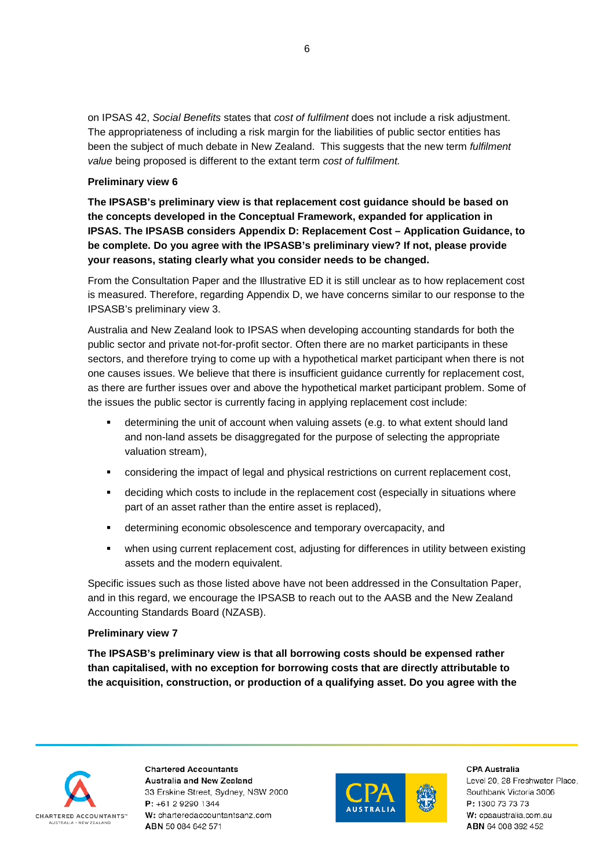on IPSAS 42, *Social Benefits* states that *cost of fulfilment* does not include a risk adjustment. The appropriateness of including a risk margin for the liabilities of public sector entities has been the subject of much debate in New Zealand. This suggests that the new term *fulfilment value* being proposed is different to the extant term *cost of fulfilment.*

## **Preliminary view 6**

**The IPSASB's preliminary view is that replacement cost guidance should be based on the concepts developed in the Conceptual Framework, expanded for application in IPSAS. The IPSASB considers Appendix D: Replacement Cost – Application Guidance, to be complete. Do you agree with the IPSASB's preliminary view? If not, please provide your reasons, stating clearly what you consider needs to be changed.** 

From the Consultation Paper and the Illustrative ED it is still unclear as to how replacement cost is measured. Therefore, regarding Appendix D, we have concerns similar to our response to the IPSASB's preliminary view 3.

Australia and New Zealand look to IPSAS when developing accounting standards for both the public sector and private not-for-profit sector. Often there are no market participants in these sectors, and therefore trying to come up with a hypothetical market participant when there is not one causes issues. We believe that there is insufficient guidance currently for replacement cost, as there are further issues over and above the hypothetical market participant problem. Some of the issues the public sector is currently facing in applying replacement cost include:

- determining the unit of account when valuing assets (e.g. to what extent should land and non-land assets be disaggregated for the purpose of selecting the appropriate valuation stream),
- **•** considering the impact of legal and physical restrictions on current replacement cost,
- deciding which costs to include in the replacement cost (especially in situations where part of an asset rather than the entire asset is replaced),
- determining economic obsolescence and temporary overcapacity, and
- when using current replacement cost, adjusting for differences in utility between existing assets and the modern equivalent.

Specific issues such as those listed above have not been addressed in the Consultation Paper, and in this regard, we encourage the IPSASB to reach out to the AASB and the New Zealand Accounting Standards Board (NZASB).

## **Preliminary view 7**

**The IPSASB's preliminary view is that all borrowing costs should be expensed rather than capitalised, with no exception for borrowing costs that are directly attributable to the acquisition, construction, or production of a qualifying asset. Do you agree with the** 



**Chartered Accountants** Australia and New Zealand 33 Erskine Street, Sydney, NSW 2000 P: +61 2 9290 1344 W: charteredaccountantsanz.com ABN 50 084 642 571



**CPA Australia**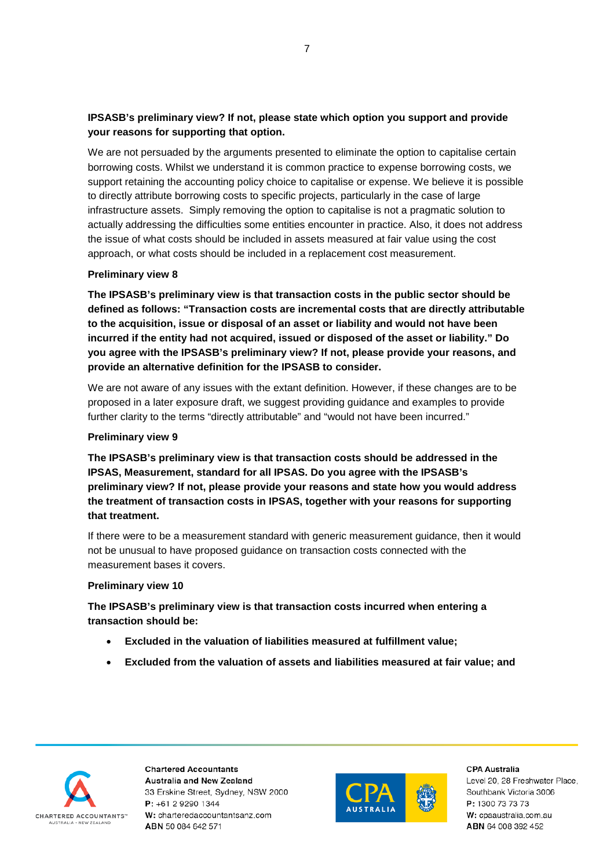## **IPSASB's preliminary view? If not, please state which option you support and provide your reasons for supporting that option.**

We are not persuaded by the arguments presented to eliminate the option to capitalise certain borrowing costs. Whilst we understand it is common practice to expense borrowing costs, we support retaining the accounting policy choice to capitalise or expense. We believe it is possible to directly attribute borrowing costs to specific projects, particularly in the case of large infrastructure assets. Simply removing the option to capitalise is not a pragmatic solution to actually addressing the difficulties some entities encounter in practice. Also, it does not address the issue of what costs should be included in assets measured at fair value using the cost approach, or what costs should be included in a replacement cost measurement.

## **Preliminary view 8**

**The IPSASB's preliminary view is that transaction costs in the public sector should be defined as follows: "Transaction costs are incremental costs that are directly attributable to the acquisition, issue or disposal of an asset or liability and would not have been incurred if the entity had not acquired, issued or disposed of the asset or liability." Do you agree with the IPSASB's preliminary view? If not, please provide your reasons, and provide an alternative definition for the IPSASB to consider.**

We are not aware of any issues with the extant definition. However, if these changes are to be proposed in a later exposure draft, we suggest providing guidance and examples to provide further clarity to the terms "directly attributable" and "would not have been incurred."

## **Preliminary view 9**

**The IPSASB's preliminary view is that transaction costs should be addressed in the IPSAS, Measurement, standard for all IPSAS. Do you agree with the IPSASB's preliminary view? If not, please provide your reasons and state how you would address the treatment of transaction costs in IPSAS, together with your reasons for supporting that treatment.**

If there were to be a measurement standard with generic measurement guidance, then it would not be unusual to have proposed guidance on transaction costs connected with the measurement bases it covers.

## **Preliminary view 10**

**The IPSASB's preliminary view is that transaction costs incurred when entering a transaction should be:**

- **Excluded in the valuation of liabilities measured at fulfillment value;**
- **Excluded from the valuation of assets and liabilities measured at fair value; and**



**Chartered Accountants** Australia and New Zealand 33 Erskine Street, Sydney, NSW 2000 P: +61 2 9290 1344 W: charteredaccountantsanz.com ABN 50 084 642 571



**CPA Australia**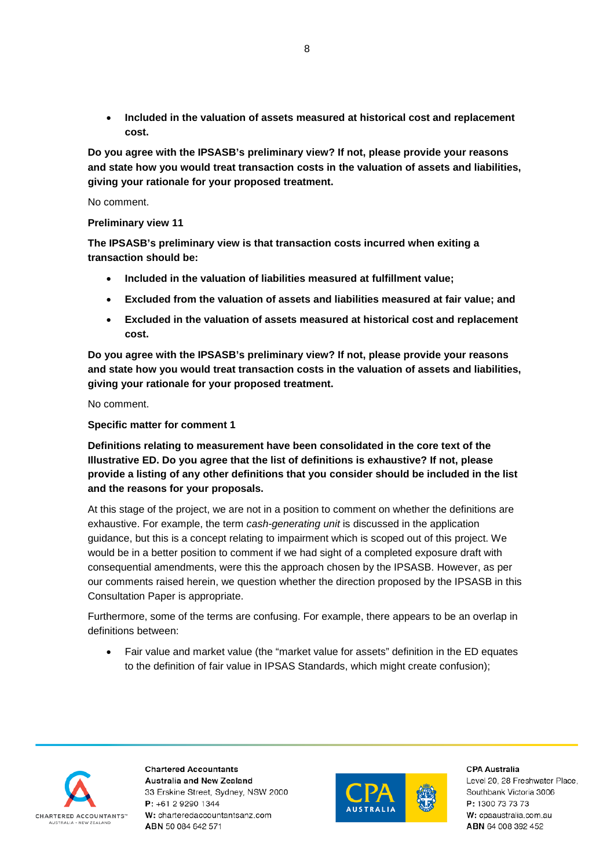• **Included in the valuation of assets measured at historical cost and replacement cost.**

**Do you agree with the IPSASB's preliminary view? If not, please provide your reasons and state how you would treat transaction costs in the valuation of assets and liabilities, giving your rationale for your proposed treatment.** 

No comment.

**Preliminary view 11**

**The IPSASB's preliminary view is that transaction costs incurred when exiting a transaction should be:**

- **Included in the valuation of liabilities measured at fulfillment value;**
- **Excluded from the valuation of assets and liabilities measured at fair value; and**
- **Excluded in the valuation of assets measured at historical cost and replacement cost.**

**Do you agree with the IPSASB's preliminary view? If not, please provide your reasons and state how you would treat transaction costs in the valuation of assets and liabilities, giving your rationale for your proposed treatment.** 

No comment.

**Specific matter for comment 1**

**Definitions relating to measurement have been consolidated in the core text of the Illustrative ED. Do you agree that the list of definitions is exhaustive? If not, please provide a listing of any other definitions that you consider should be included in the list and the reasons for your proposals.** 

At this stage of the project, we are not in a position to comment on whether the definitions are exhaustive. For example, the term *cash-generating unit* is discussed in the application guidance, but this is a concept relating to impairment which is scoped out of this project. We would be in a better position to comment if we had sight of a completed exposure draft with consequential amendments, were this the approach chosen by the IPSASB. However, as per our comments raised herein, we question whether the direction proposed by the IPSASB in this Consultation Paper is appropriate.

Furthermore, some of the terms are confusing. For example, there appears to be an overlap in definitions between:

• Fair value and market value (the "market value for assets" definition in the ED equates to the definition of fair value in IPSAS Standards, which might create confusion);



**Chartered Accountants** Australia and New Zealand 33 Erskine Street, Sydney, NSW 2000  $P: +61292901344$ W: charteredaccountantsanz.com ABN 50 084 642 571



**CPA Australia**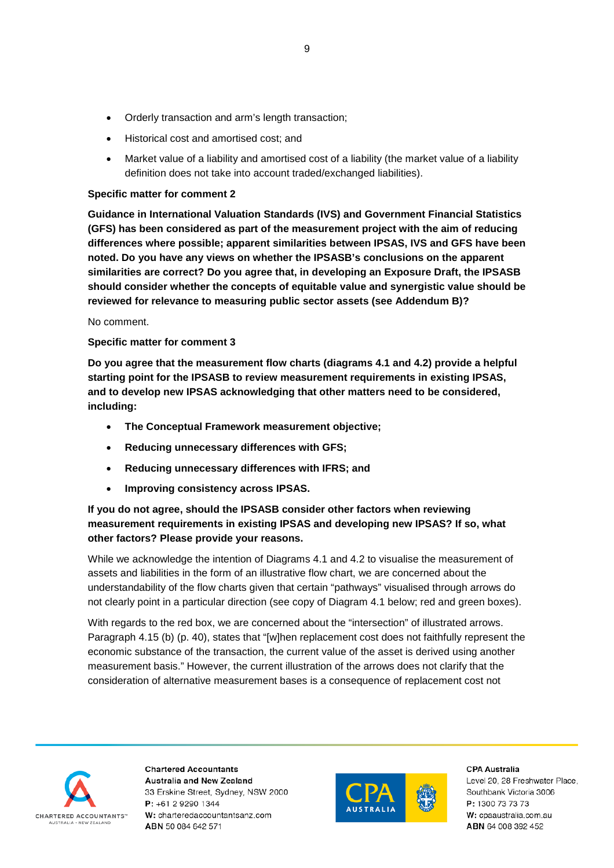- Orderly transaction and arm's length transaction;
- Historical cost and amortised cost; and
- Market value of a liability and amortised cost of a liability (the market value of a liability definition does not take into account traded/exchanged liabilities).

## **Specific matter for comment 2**

**Guidance in International Valuation Standards (IVS) and Government Financial Statistics (GFS) has been considered as part of the measurement project with the aim of reducing differences where possible; apparent similarities between IPSAS, IVS and GFS have been noted. Do you have any views on whether the IPSASB's conclusions on the apparent similarities are correct? Do you agree that, in developing an Exposure Draft, the IPSASB should consider whether the concepts of equitable value and synergistic value should be reviewed for relevance to measuring public sector assets (see Addendum B)?**

## No comment.

## **Specific matter for comment 3**

**Do you agree that the measurement flow charts (diagrams 4.1 and 4.2) provide a helpful starting point for the IPSASB to review measurement requirements in existing IPSAS, and to develop new IPSAS acknowledging that other matters need to be considered, including:** 

- **The Conceptual Framework measurement objective;**
- **Reducing unnecessary differences with GFS;**
- **Reducing unnecessary differences with IFRS; and**
- **Improving consistency across IPSAS.**

## **If you do not agree, should the IPSASB consider other factors when reviewing measurement requirements in existing IPSAS and developing new IPSAS? If so, what other factors? Please provide your reasons.**

While we acknowledge the intention of Diagrams 4.1 and 4.2 to visualise the measurement of assets and liabilities in the form of an illustrative flow chart, we are concerned about the understandability of the flow charts given that certain "pathways" visualised through arrows do not clearly point in a particular direction (see copy of Diagram 4.1 below; red and green boxes).

With regards to the red box, we are concerned about the "intersection" of illustrated arrows. Paragraph 4.15 (b) (p. 40), states that "[w]hen replacement cost does not faithfully represent the economic substance of the transaction, the current value of the asset is derived using another measurement basis." However, the current illustration of the arrows does not clarify that the consideration of alternative measurement bases is a consequence of replacement cost not



**Chartered Accountants** Australia and New Zealand 33 Erskine Street, Sydney, NSW 2000 P: +61 2 9290 1344 W: charteredaccountantsanz.com ABN 50 084 642 571



**CPA Australia**